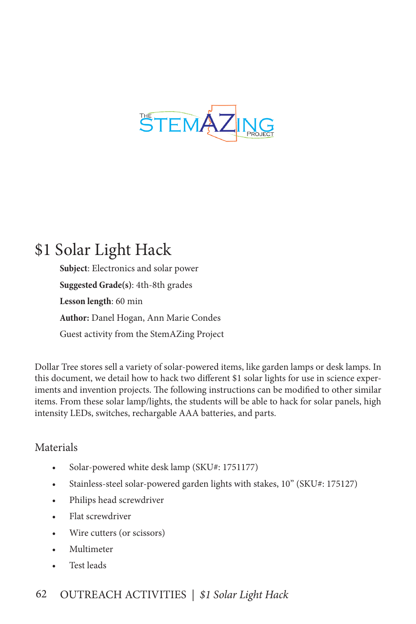

# \$1 Solar Light Hack

**Subject**: Electronics and solar power **Suggested Grade(s)**: 4th-8th grades **Lesson length**: 60 min **Author:** Danel Hogan, Ann Marie Condes Guest activity from the StemAZing Project

Dollar Tree stores sell a variety of solar-powered items, like garden lamps or desk lamps. In this document, we detail how to hack two different \$1 solar lights for use in science experiments and invention projects. The following instructions can be modified to other similar items. From these solar lamp/lights, the students will be able to hack for solar panels, high intensity LEDs, switches, rechargable AAA batteries, and parts.

## Materials

- Solar-powered white desk lamp (SKU#: 1751177)
- Stainless-steel solar-powered garden lights with stakes, 10" (SKU#: 175127)
- Philips head screwdriver
- Flat screwdriver
- Wire cutters (or scissors)
- Multimeter
- Test leads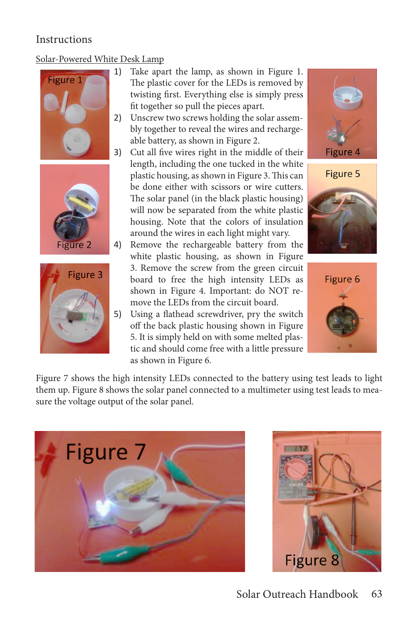## **Instructions**

### Solar-Powered White Desk Lamp







- 1) Take apart the lamp, as shown in Figure 1. The plastic cover for the LEDs is removed by twisting first. Everything else is simply press fit together so pull the pieces apart.
- 2) Unscrew two screws holding the solar assembly together to reveal the wires and rechargeable battery, as shown in Figure 2.
- 3) Cut all five wires right in the middle of their length, including the one tucked in the white plastic housing, as shown in Figure 3. This can be done either with scissors or wire cutters. The solar panel (in the black plastic housing) will now be separated from the white plastic housing. Note that the colors of insulation around the wires in each light might vary.
- 4) Remove the rechargeable battery from the white plastic housing, as shown in Figure 3. Remove the screw from the green circuit board to free the high intensity LEDs as shown in Figure 4. Important: do NOT remove the LEDs from the circuit board.
- 5) Using a flathead screwdriver, pry the switch off the back plastic housing shown in Figure 5. It is simply held on with some melted plastic and should come free with a little pressure as shown in Figure 6.







Figure 7 shows the high intensity LEDs connected to the battery using test leads to light them up. Figure 8 shows the solar panel connected to a multimeter using test leads to measure the voltage output of the solar panel.